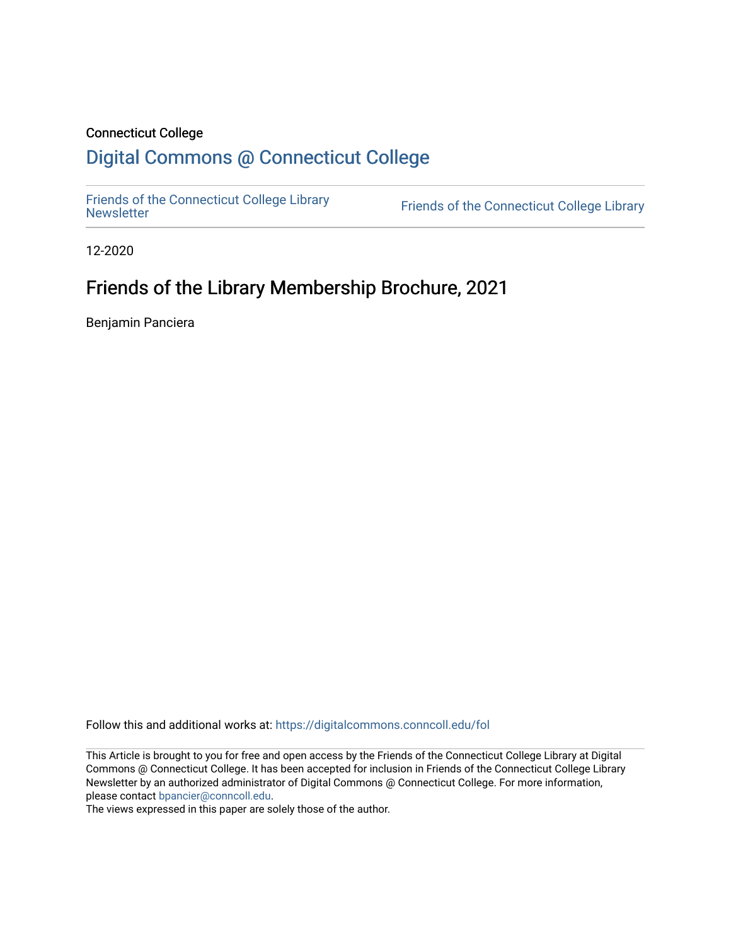#### Connecticut College

## [Digital Commons @ Connecticut College](https://digitalcommons.conncoll.edu/)

[Friends of the Connecticut College Library](https://digitalcommons.conncoll.edu/fol) 

Friends of the Connecticut College Library

12-2020

# Friends of the Library Membership Brochure, 2021

Benjamin Panciera

Follow this and additional works at: [https://digitalcommons.conncoll.edu/fol](https://digitalcommons.conncoll.edu/fol?utm_source=digitalcommons.conncoll.edu%2Ffol%2F42&utm_medium=PDF&utm_campaign=PDFCoverPages) 

This Article is brought to you for free and open access by the Friends of the Connecticut College Library at Digital Commons @ Connecticut College. It has been accepted for inclusion in Friends of the Connecticut College Library Newsletter by an authorized administrator of Digital Commons @ Connecticut College. For more information, please contact [bpancier@conncoll.edu.](mailto:bpancier@conncoll.edu)

The views expressed in this paper are solely those of the author.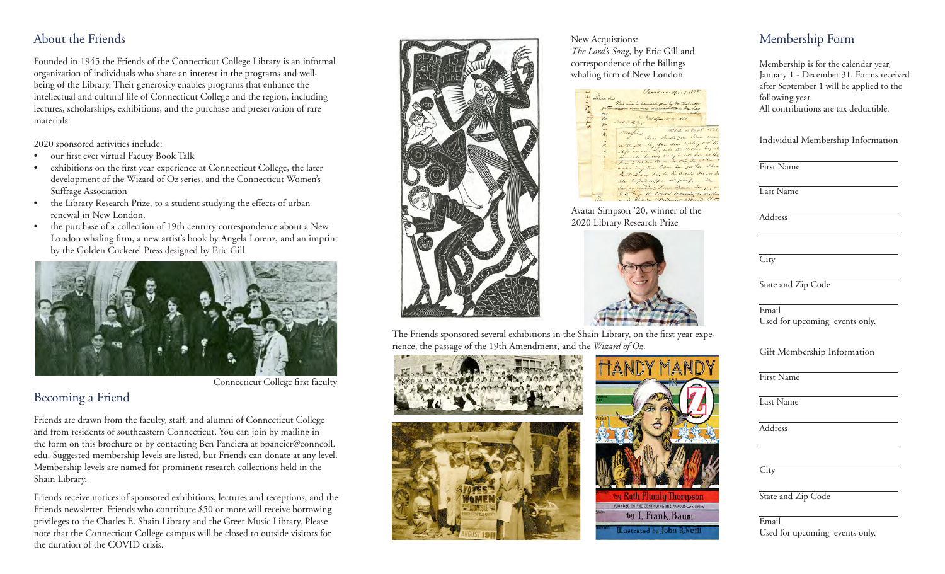#### About the Friends

Founded in 1945 the Friends of the Connecticut College Library is an informal organization of individuals who share an interest in the programs and wellbeing of the Library. Their generosity enables programs that enhance the intellectual and cultural life of Connecticut College and the region, including lectures, scholarships, exhibitions, and the purchase and preservation of rare materials.

2020 sponsored activities include:

- our first ever virtual Facuty Book Talk
- exhibitions on the first year experience at Connecticut College, the later development of the Wizard of Oz series, and the Connecticut Women's Suffrage Association
- the Library Research Prize, to a student studying the effects of urban renewal in New London.
- the purchase of a collection of 19th century correspondence about a New London whaling firm, a new artist's book by Angela Lorenz, and an imprint by the Golden Cockerel Press designed by Eric Gill



Connecticut College first faculty

#### Becoming a Friend

Friends are drawn from the faculty, staff, and alumni of Connecticut College and from residents of southeastern Connecticut. You can join by mailing in the form on this brochure or by contacting Ben Panciera at bpancier@conncoll. edu. Suggested membership levels are listed, but Friends can donate at any level. Membership levels are named for prominent research collections held in the Shain Library.

Friends receive notices of sponsored exhibitions, lectures and receptions, and the Friends newsletter. Friends who contribute \$50 or more will receive borrowing privileges to the Charles E. Shain Library and the Greer Music Library. Please note that the Connecticut College campus will be closed to outside visitors for the duration of the COVID crisis.



The Friends sponsored several exhibitions in the Shain Library, on the first year experience, the passage of the 19th Amendment, and the *Wizard of Oz*.



New Acquistions: *The Lord's Song*, by Eric Gill and correspondence of the Billings whaling firm of New London



Avatar Simpson '20, winner of the 2020 Library Research Prize



by Kuth Plumlu Thompso FOUNDED ON AND CONTINUING THE FAMOUS-OZ-STORIES by L.Frank Baum Illustrated by John R.Neil

Email

First Name Last Name Address **City** State and Zip Code Email

### Membership Form

Membership is for the calendar year, January 1 - December 31. Forms received after September 1 will be applied to the following year. All contributions are tax deductible.

Individual Membership Information

First Name

Last Name

**Address** 

**City** 

State and Zip Code

Used for upcoming events only.

Gift Membership Information